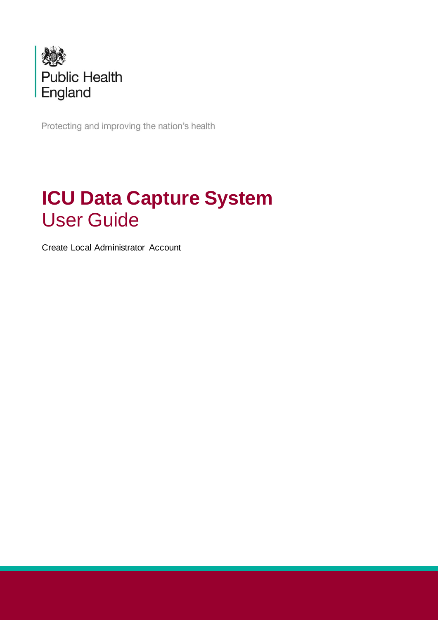

Protecting and improving the nation's health

# **ICU Data Capture System** User Guide

Create Local Administrator Account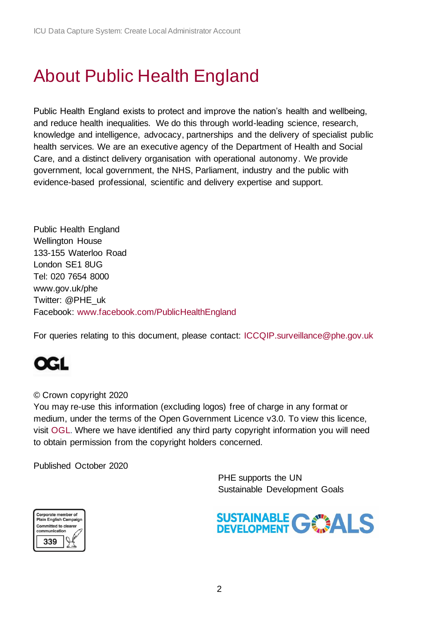# <span id="page-1-0"></span>About Public Health England

Public Health England exists to protect and improve the nation's health and wellbeing, and reduce health inequalities. We do this through world-leading science, research, knowledge and intelligence, advocacy, partnerships and the delivery of specialist public health services. We are an executive agency of the Department of Health and Social Care, and a distinct delivery organisation with operational autonomy. We provide government, local government, the NHS, Parliament, industry and the public with evidence-based professional, scientific and delivery expertise and support.

Public Health England Wellington House 133-155 Waterloo Road London SE1 8UG Tel: 020 7654 8000 [www.gov.uk/phe](http://www.gov.uk/phe) Twitter: [@PHE\\_uk](https://twitter.com/PHE_uk) Facebook: [www.facebook.com/PublicHealthEngland](http://www.facebook.com/PublicHealthEngland)

For queries relating to this document, please contact: [ICCQIP.surveillance@phe.gov.uk](mailto:ICCQIP.surveillance@phe.gov.uk)

# **OGL**

#### © Crown copyright 2020

You may re-use this information (excluding logos) free of charge in any format or medium, under the terms of the Open Government Licence v3.0. To view this licence, visit [OGL.](https://www.nationalarchives.gov.uk/doc/open-government-licence/version/3/) Where we have identified any third party copyright information you will need to obtain permission from the copyright holders concerned.

Published October 2020

 PHE supports the UN Sustainable Development Goals



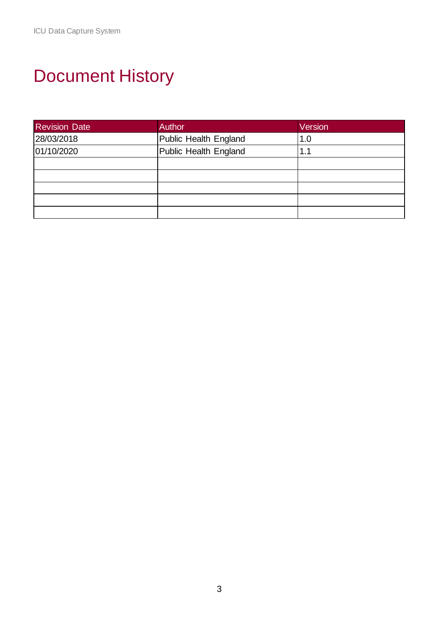# <span id="page-2-0"></span>Document History

| <b>Revision Date</b> | <b>Author</b>         | Version |
|----------------------|-----------------------|---------|
| 28/03/2018           | Public Health England | 1.0     |
| 01/10/2020           | Public Health England |         |
|                      |                       |         |
|                      |                       |         |
|                      |                       |         |
|                      |                       |         |
|                      |                       |         |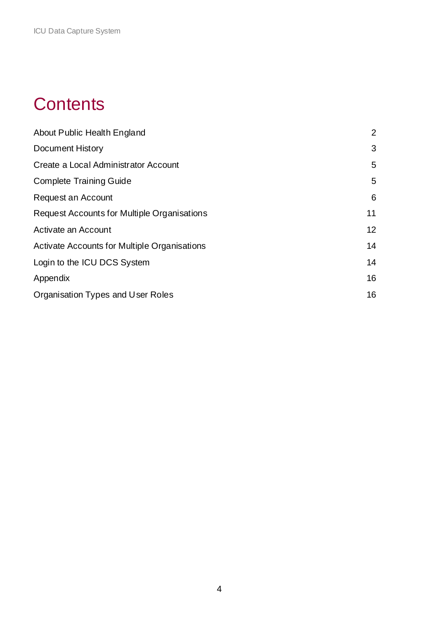## **Contents**

| About Public Health England                         | 2  |
|-----------------------------------------------------|----|
| <b>Document History</b>                             | 3  |
| Create a Local Administrator Account                | 5  |
| <b>Complete Training Guide</b>                      | 5  |
| Request an Account                                  | 6  |
| Request Accounts for Multiple Organisations         | 11 |
| Activate an Account                                 | 12 |
| <b>Activate Accounts for Multiple Organisations</b> | 14 |
| Login to the ICU DCS System                         | 14 |
| Appendix                                            | 16 |
| Organisation Types and User Roles                   | 16 |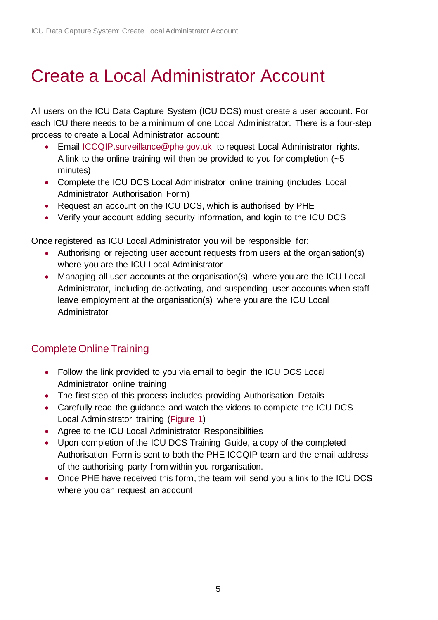# <span id="page-4-0"></span>Create a Local Administrator Account

All users on the ICU Data Capture System (ICU DCS) must create a user account. For each ICU there needs to be a minimum of one Local Administrator. There is a four-step process to create a Local Administrator account:

- Email [ICCQIP.surveillance@phe.gov.uk](mailto:ICCQIP.surveillance@phe.gov.uk) to request Local Administrator rights. A link to the online training will then be provided to you for completion  $(-5)$ minutes)
- Complete the ICU DCS Local Administrator online training (includes Local Administrator Authorisation Form)
- Request an account on the ICU DCS, which is authorised by PHE
- Verify your account adding security information, and login to the ICU DCS

Once registered as ICU Local Administrator you will be responsible for:

- Authorising or rejecting user account requests from users at the organisation(s) where you are the ICU Local Administrator
- Managing all user accounts at the organisation(s) where you are the ICU Local Administrator, including de-activating, and suspending user accounts when staff leave employment at the organisation(s) where you are the ICU Local **Administrator**

## <span id="page-4-1"></span>Complete Online Training

- Follow the link provided to you via email to begin the ICU DCS Local Administrator online training
- The first step of this process includes providing Authorisation Details
- Carefully read the quidance and watch the videos to complete the ICU DCS Local Administrator training [\(Figure 1\)](#page-5-1)
- Agree to the ICU Local Administrator Responsibilities
- Upon completion of the ICU DCS Training Guide, a copy of the completed Authorisation Form is sent to both the PHE ICCQIP team and the email address of the authorising party from within you rorganisation.
- Once PHE have received this form, the team will send you a link to the ICU DCS where you can request an account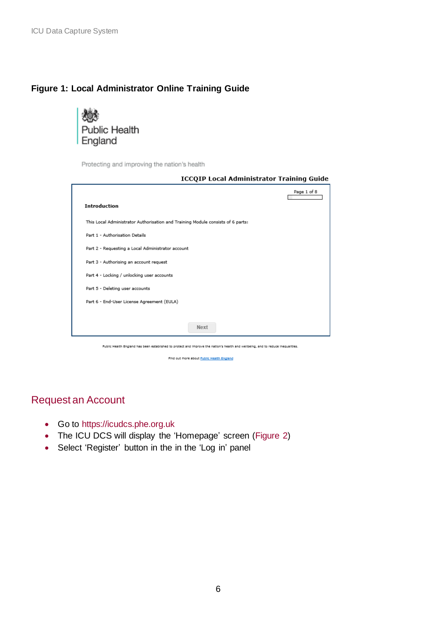### <span id="page-5-1"></span>**Figure 1: Local Administrator Online Training Guide**



## Protecting and improving the nation's health **ICCQIP Local Administrator Training Guide** Page 1 of 8 Г Introduction This Local Administrator Authorisation and Training Module consists of 6 parts: Part 1 - Authorisation Details Part 2 - Requesting a Local Administrator account Part 3 - Authorising an account request Part 4 - Locking / unlocking user accounts Part 5 - Deleting user accounts Part 6 - End-User License Agreement (EULA) Next

Public Health England has been established to protect and improve the nation's health and wellbeing, and to reduce inequalities.

Find out more about Public Health England

## <span id="page-5-0"></span>Request an Account

- Go to [https://icudcs.phe.org.uk](https://icudcs.phe.org.uk/)
- The ICU DCS will display the 'Homepage' screen [\(Figure 2\)](#page-6-0)
- Select 'Register' button in the in the 'Log in' panel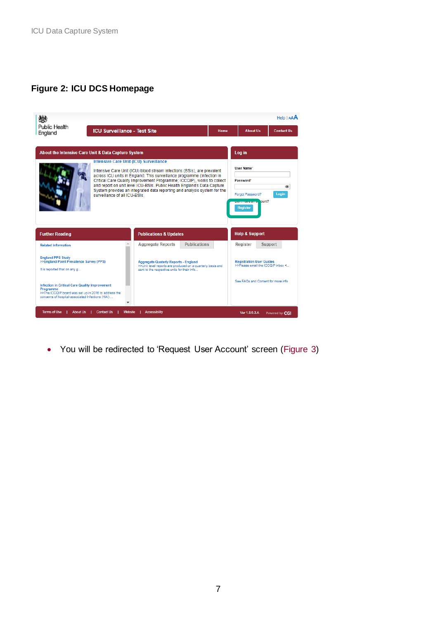## <span id="page-6-0"></span>**Figure 2: ICU DCS Homepage**



• You will be redirected to 'Request User Account' screen [\(Figure 3\)](#page-7-0)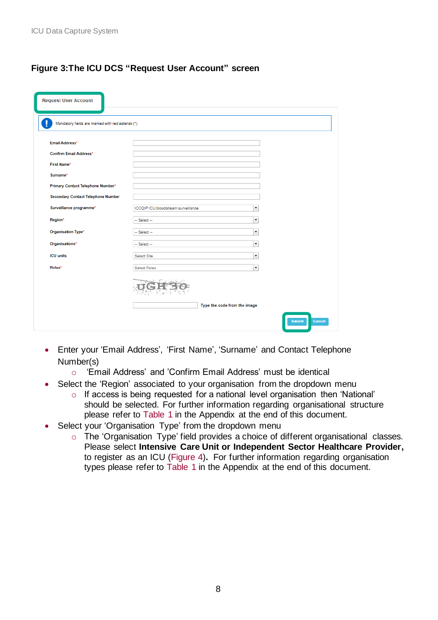## <span id="page-7-0"></span>**Figure 3:The ICU DCS "Request User Account" screen**

| <b>Request User Account</b>                       |                                     |                              |               |
|---------------------------------------------------|-------------------------------------|------------------------------|---------------|
| Mandatory fields are marked with red asterisk (*) |                                     |                              |               |
| Email Address*                                    |                                     |                              |               |
| Confirm Email Address*                            |                                     |                              |               |
| First Name*                                       |                                     |                              |               |
| Surname*                                          |                                     |                              |               |
| Primary Contact Telephone Number*                 |                                     |                              |               |
| <b>Secondary Contact Telephone Number</b>         |                                     |                              |               |
| Surveillance programme*                           | ICCQIP ICU bloodstream surveillance | $\overline{\phantom{a}}$     |               |
| Region*                                           | $-$ Select $-$                      | $\overline{\phantom{a}}$     |               |
| Organisation Type*                                | -- Select --                        |                              |               |
| Organisations*                                    | -- Select --                        |                              |               |
| <b>ICU units</b>                                  | Select Site                         | ۰                            |               |
| Roles*                                            | Select Roles                        | $\overline{\phantom{a}}$     |               |
|                                                   |                                     |                              |               |
|                                                   |                                     | Type the code from the image |               |
|                                                   |                                     | <b>Submit</b>                | <b>Cancel</b> |

- Enter your 'Email Address', 'First Name', 'Surname' and Contact Telephone Number(s)
	- o 'Email Address' and 'Confirm Email Address' must be identical
- Select the 'Region' associated to your organisation from the dropdown menu
	- $\circ$  If access is being requested for a national level organisation then 'National' should be selected. For further information regarding organisational structure please refer to [Table 1](#page-15-2) in the Appendix at the end of this document.
- <span id="page-7-1"></span>• Select your 'Organisation Type' from the dropdown menu
	- o The 'Organisation Type' field provides a choice of different organisational classes. Please select **Intensive Care Unit or Independent Sector Healthcare Provider,**  to register as an ICU [\(Figure 4\)](#page-7-1)**.** For further information regarding organisation types please refer to [Table 1](#page-15-2) in the Appendix at the end of this document.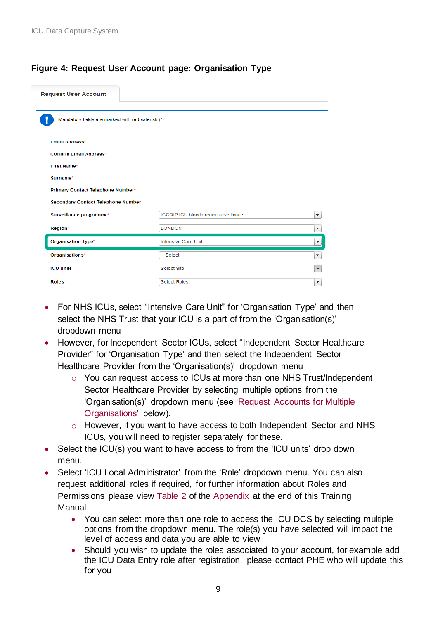## **Figure 4: Request User Account page: Organisation Type**

| <b>Request User Account</b>                       |                                            |   |
|---------------------------------------------------|--------------------------------------------|---|
| Mandatory fields are marked with red asterisk (*) |                                            |   |
| Email Address*                                    |                                            |   |
| Confirm Email Address*<br>First Name*             |                                            |   |
| Surname*                                          |                                            |   |
| Primary Contact Telephone Number*                 |                                            |   |
| <b>Secondary Contact Telephone Number</b>         |                                            |   |
| Surveillance programme*                           | <b>ICCQIP ICU bloodstream surveillance</b> | ▼ |
| Region*                                           | <b>LONDON</b>                              | ۰ |
| Organisation Type*                                | <b>Intensive Care Unit</b>                 | ▼ |
| Organisations*                                    | $-$ Select $-$                             | ۰ |
| <b>ICU</b> units                                  | <b>Select Site</b>                         | ▼ |
| Roles*                                            | <b>Select Roles</b>                        | ▼ |

- For NHS ICUs, select "Intensive Care Unit" for 'Organisation Type' and then select the NHS Trust that your ICU is a part of from the 'Organisation(s)' dropdown menu
- However, for Independent Sector ICUs, select "Independent Sector Healthcare Provider" for 'Organisation Type' and then select the Independent Sector Healthcare Provider from the 'Organisation(s)' dropdown menu
	- o You can request access to ICUs at more than one NHS Trust/Independent Sector Healthcare Provider by selecting multiple options from the 'Organisation(s)' dropdown menu (see ['Request Accounts for Multiple](file://///COLHPAFIL004.HPA.org.uk/Colindale_Data/HQ%20Group%20and%20LARS/Group%20Data/Bacteraemia/ICU%20surveillance/sentinel%20study%20commencing%202015/User%20Guides/DCS%20Launch%20new%20user%20guides%202018/Word%20docs/ICUDCS_UserManagement_Create_New_Account_User_Guide_v2.0.docx%23Request_Multiple_Orgs)  [Organisations'](file://///COLHPAFIL004.HPA.org.uk/Colindale_Data/HQ%20Group%20and%20LARS/Group%20Data/Bacteraemia/ICU%20surveillance/sentinel%20study%20commencing%202015/User%20Guides/DCS%20Launch%20new%20user%20guides%202018/Word%20docs/ICUDCS_UserManagement_Create_New_Account_User_Guide_v2.0.docx%23Request_Multiple_Orgs) below).
	- o However, if you want to have access to both Independent Sector and NHS ICUs, you will need to register separately for these.
- Select the ICU(s) you want to have access to from the 'ICU units' drop down menu.
- Select 'ICU Local Administrator' from the 'Role' dropdown menu. You can also request additional roles if required, for further information about Roles and Permissions please view [Table 2](#page-16-0) of the [Appendix](#page-15-0) at the end of this Training Manual
	- You can select more than one role to access the ICU DCS by selecting multiple options from the dropdown menu. The role(s) you have selected will impact the level of access and data you are able to view
	- Should you wish to update the roles associated to your account, for example add the ICU Data Entry role after registration, please contact PHE who will update this for you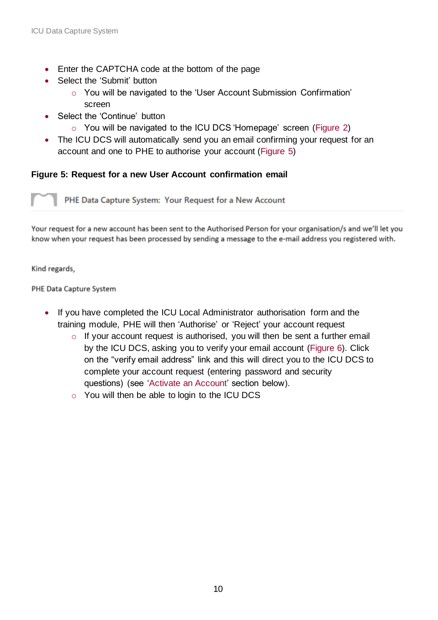- Enter the CAPTCHA code at the bottom of the page
- Select the 'Submit' button
	- o You will be navigated to the 'User Account Submission Confirmation' screen
- Select the 'Continue' button
	- o You will be navigated to the ICU DCS 'Homepage' screen [\(Figure 2\)](#page-6-0)
- The ICU DCS will automatically send you an email confirming your request for an account and one to PHE to authorise your account [\(Figure 5\)](#page-9-0)

### <span id="page-9-0"></span>**Figure 5: Request for a new User Account confirmation email**

PHE Data Capture System: Your Request for a New Account

Your request for a new account has been sent to the Authorised Person for your organisation/s and we'll let you know when your request has been processed by sending a message to the e-mail address you registered with.

Kind regards,

PHE Data Capture System

- <span id="page-9-1"></span>• If you have completed the ICU Local Administrator authorisation form and the training module, PHE will then 'Authorise' or 'Reject' your account request
	- o If your account request is authorised, you will then be sent a further email by the ICU DCS, asking you to verify your email account [\(Figure 6\)](#page-9-1). Click on the "verify email address" link and this will direct you to the ICU DCS to complete your account request (entering password and security questions) (see ['Activate an Account'](file://///COLHPAFIL004.HPA.org.uk/Colindale_Data/HQ%20Group%20and%20LARS/Group%20Data/Bacteraemia/ICU%20surveillance/sentinel%20study%20commencing%202015/User%20Guides/DCS%20Launch%20new%20user%20guides%202018/Word%20docs/ICUDCS_UserManagement_Create_New_Account_User_Guide_v2.0.docx%23Activate_Account) section below).
	- o You will then be able to login to the ICU DCS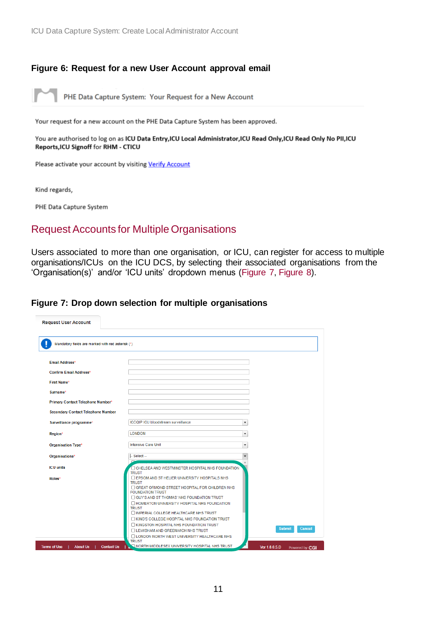#### **Figure 6: Request for a new User Account approval email**

PHE Data Capture System: Your Request for a New Account

Your request for a new account on the PHE Data Capture System has been approved.

You are authorised to log on as ICU Data Entry, ICU Local Administrator, ICU Read Only, ICU Read Only No PII, ICU Reports, ICU Signoff for RHM - CTICU

Please activate your account by visiting Verify Account

Kind regards,

PHE Data Capture System

## <span id="page-10-0"></span>Request Accounts for Multiple Organisations

Users associated to more than one organisation, or ICU, can register for access to multiple organisations/ICUs on the ICU DCS, by selecting their associated organisations from the 'Organisation(s)' and/or 'ICU units' dropdown menus [\(Figure 7,](#page-10-1) [Figure 8\)](#page-11-1).

#### <span id="page-10-1"></span>**Figure 7: Drop down selection for multiple organisations**

| <b>Request User Account</b>                       |                                                                                |                                 |
|---------------------------------------------------|--------------------------------------------------------------------------------|---------------------------------|
|                                                   |                                                                                |                                 |
| Mandatory fields are marked with red asterisk (*) |                                                                                |                                 |
| <b>Email Address*</b>                             |                                                                                |                                 |
| <b>Confirm Email Address*</b>                     |                                                                                |                                 |
| <b>First Name*</b>                                |                                                                                |                                 |
| Surname*                                          |                                                                                |                                 |
| Primary Contact Telephone Number*                 |                                                                                |                                 |
| <b>Secondary Contact Telephone Number</b>         |                                                                                |                                 |
| Surveillance programme*                           | <b>ICCQIP ICU bloodstream surveillance</b>                                     | $\overline{\phantom{a}}$        |
| Region*                                           | <b>LONDON</b>                                                                  | $\overline{\phantom{a}}$        |
| Organisation Type*                                | <b>Intensive Care Unit</b>                                                     | $\overline{\phantom{a}}$        |
| Organisations*                                    | $-$ Select $-$                                                                 |                                 |
| <b>ICU</b> units                                  | <b>CHELSEA AND WESTMINSTER HOSPITAL NHS FOUNDATION</b>                         |                                 |
| Roles <sup>*</sup>                                | <b>TRUST</b><br>E EPSOM AND ST HELIER UNIVERSITY HOSPITALS NHS<br><b>TRUST</b> |                                 |
|                                                   | GREAT ORMOND STREET HOSPITAL FOR CHILDREN NHS<br><b>FOUNDATION TRUST</b>       |                                 |
|                                                   | □ GUY'S AND ST THOMAS' NHS FOUNDATION TRUST                                    |                                 |
|                                                   | HOMERTON UNIVERSITY HOSPITAL NHS FOUNDATION                                    |                                 |
|                                                   | <b>TRUST</b><br>IMPERIAL COLLEGE HEALTHCARE NHS TRUST                          |                                 |
|                                                   | <b>EXING'S COLLEGE HOSPITAL NHS FOUNDATION TRUST</b>                           |                                 |
|                                                   | <b>EXINGSTON HOSPITAL NHS FOUNDATION TRUST</b>                                 |                                 |
|                                                   | <b>ILEWISHAM AND GREENWICH NHS TRUST</b>                                       | <b>Submit</b><br>Cancel         |
|                                                   | <b>LONDON NORTH WEST UNIVERSITY HEALTHCARE NHS</b><br><b>TRUST</b>             |                                 |
| About Us   Contact Us<br><b>Terms of Use</b>      | NORTH MIDDLESEX UNIVERSITY HOSPITAL NHS TRUST                                  | Ver 1.8.0.5.D<br>Powered by CGI |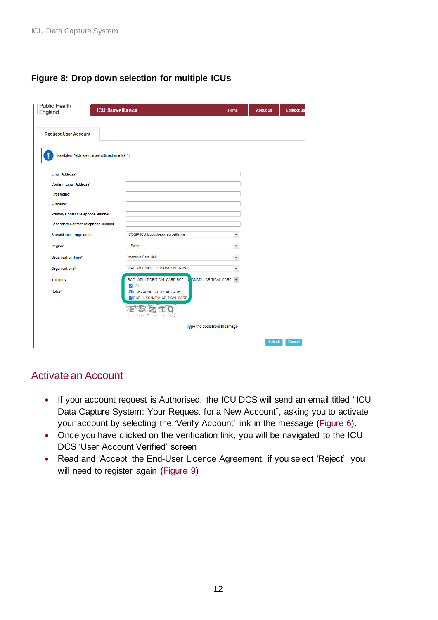## <span id="page-11-1"></span>**Figure 8: Drop down selection for multiple ICUs**

| <b>Public Health</b><br><b>ICU Surveillance</b><br>England |                                                                                                       | Home                     | <b>About Us</b> | <b>Contact Us</b> |
|------------------------------------------------------------|-------------------------------------------------------------------------------------------------------|--------------------------|-----------------|-------------------|
| <b>Request User Account</b>                                |                                                                                                       |                          |                 |                   |
| Mandatory fields are marked with red asterisk (*)          |                                                                                                       |                          |                 |                   |
| Email Address*                                             |                                                                                                       |                          |                 |                   |
| <b>Confirm Email Address*</b>                              |                                                                                                       |                          |                 |                   |
| <b>First Name*</b>                                         |                                                                                                       |                          |                 |                   |
| Surname*                                                   |                                                                                                       |                          |                 |                   |
| Primary Contact Telephone Number*                          |                                                                                                       |                          |                 |                   |
| <b>Secondary Contact Telephone Number</b>                  |                                                                                                       |                          |                 |                   |
| Surveillance programme*                                    | <b>ICCQIP ICU bloodstream surveillance</b>                                                            | $\overline{\phantom{a}}$ |                 |                   |
| Region*                                                    | $-$ Select $-$                                                                                        | $\overline{\phantom{a}}$ |                 |                   |
| Organisation Type*                                         | <b>Intensive Care Unit</b>                                                                            | $\overline{\phantom{a}}$ |                 |                   |
| Organisations*                                             | AIREDALE NHS FOUNDATION TRUST                                                                         | $\overline{\phantom{a}}$ |                 |                   |
| <b>ICU units</b>                                           | RCF - ADULT CRITICAL CARE, RCF - N<br>ONATAL CRITICAL CARE,                                           |                          |                 |                   |
| Roles*                                                     | $\blacktriangleright$ --All--<br><b>Z</b> RCF - ADULT CRITICAL CARE<br>C RCF - NEONATAL CRITICAL CARE |                          |                 |                   |
|                                                            | ID ZI<br>$\rightarrow$                                                                                |                          |                 |                   |
|                                                            | Type the code from the image                                                                          |                          |                 |                   |
|                                                            |                                                                                                       |                          |                 |                   |

## <span id="page-11-0"></span>Activate an Account

- If your account request is Authorised, the ICU DCS will send an email titled "ICU Data Capture System: Your Request for a New Account", asking you to activate your account by selecting the 'Verify Account' link in the message [\(Figure 6\)](#page-9-1).
- Once you have clicked on the verification link, you will be navigated to the ICU DCS 'User Account Verified' screen
- Read and 'Accept' the End-User Licence Agreement, if you select 'Reject', you will need to register again [\(Figure 9\)](#page-12-0)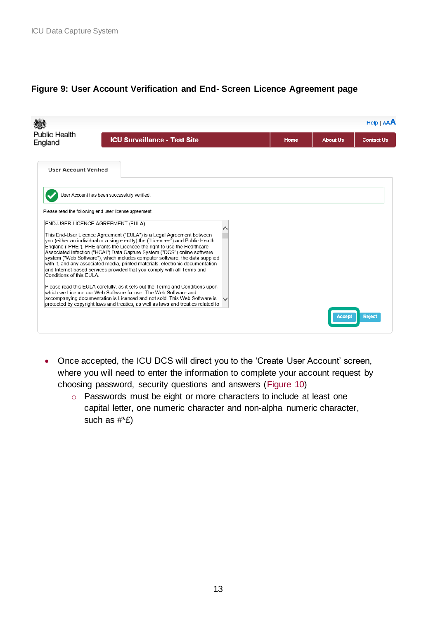### <span id="page-12-0"></span>**Figure 9: User Account Verification and End- Screen Licence Agreement page**

|                                 |                                                                                                                                                                                                                                                                                                                                                                                                                                                                                                                                                                                                                                                                                                                                                                                                                                                                                                                                                                                             |      |                 | Help   AAA        |
|---------------------------------|---------------------------------------------------------------------------------------------------------------------------------------------------------------------------------------------------------------------------------------------------------------------------------------------------------------------------------------------------------------------------------------------------------------------------------------------------------------------------------------------------------------------------------------------------------------------------------------------------------------------------------------------------------------------------------------------------------------------------------------------------------------------------------------------------------------------------------------------------------------------------------------------------------------------------------------------------------------------------------------------|------|-----------------|-------------------|
| <b>Public Health</b><br>England | <b>ICU Surveillance - Test Site</b>                                                                                                                                                                                                                                                                                                                                                                                                                                                                                                                                                                                                                                                                                                                                                                                                                                                                                                                                                         | Home | <b>About Us</b> | <b>Contact Us</b> |
| <b>User Account Verified</b>    |                                                                                                                                                                                                                                                                                                                                                                                                                                                                                                                                                                                                                                                                                                                                                                                                                                                                                                                                                                                             |      |                 |                   |
|                                 | User Account has been successfully verified.                                                                                                                                                                                                                                                                                                                                                                                                                                                                                                                                                                                                                                                                                                                                                                                                                                                                                                                                                |      |                 |                   |
| Conditions of this FULA         | Please read the following end user license agreement.<br><b>END-USER LICENCE AGREEMENT (EULA)</b><br>This End-User Licence Agreement ("EULA") is a Legal Agreement between<br>you (either an individual or a single entity) the ("Licencee") and Public Health<br>England ("PHE"). PHE grants the Licencee the right to use the Healthcare-<br>Associated Infection ("HCAI") Data Capture System ("DCS") online software<br>system ("Web Software"), which includes computer software, the data supplied<br>with it, and any associated media, printed materials, electronic documentation<br>and Internet-based services provided that you comply with all Terms and<br>Please read this EULA carefully, as it sets out the Terms and Conditions upon<br>which we Licence our Web Software for use. The Web Software and<br>accompanying documentation is Licenced and not sold. This Web Software is<br>protected by copyright laws and treaties, as well as laws and treaties related to |      | Accept          | <b>Reject</b>     |

- Once accepted, the ICU DCS will direct you to the 'Create User Account' screen, where you will need to enter the information to complete your account request by choosing password, security questions and answers [\(Figure 10\)](#page-13-2)
	- o Passwords must be eight or more characters to include at least one capital letter, one numeric character and non-alpha numeric character, such as #\*£)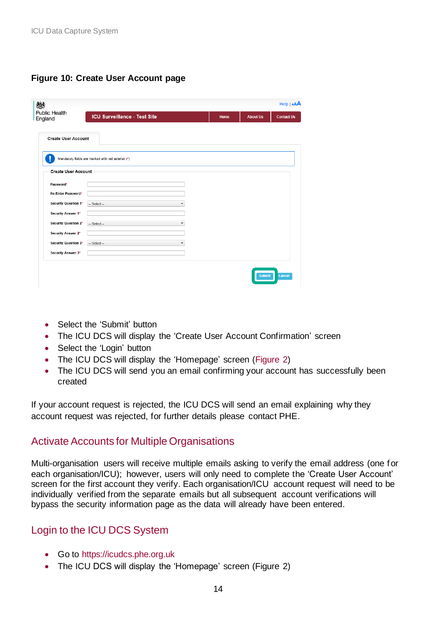## <span id="page-13-2"></span>**Figure 10: Create User Account page**

| 戀                               |                                                   |      |                 | Help   AAA        |
|---------------------------------|---------------------------------------------------|------|-----------------|-------------------|
| <b>Public Health</b><br>England | <b>ICU Surveillance - Test Site</b>               | Home | <b>About Us</b> | <b>Contact Us</b> |
| <b>Create User Account</b>      |                                                   |      |                 |                   |
|                                 | Mandatory fields are marked with red asterisk (*) |      |                 |                   |
| <b>Create User Account</b>      |                                                   |      |                 |                   |
| Password*                       |                                                   |      |                 |                   |
| Re-Enter Password*              |                                                   |      |                 |                   |
| Security Question 1*            | $-$ Select $-$<br>-                               |      |                 |                   |
| Security Answer 1*              |                                                   |      |                 |                   |
| Security Question 2*            | $-$ Select $-$                                    |      |                 |                   |
| Security Answer 2*              |                                                   |      |                 |                   |
| Security Question 3*            | $-$ Select $-$<br>٠                               |      |                 |                   |
| Security Answer 3*              |                                                   |      |                 |                   |
|                                 |                                                   |      | <b>Submit</b>   | Cancel            |

- Select the 'Submit' button
- The ICU DCS will display the 'Create User Account Confirmation' screen
- Select the 'Login' button
- The ICU DCS will display the 'Homepage' screen [\(Figure 2\)](#page-6-0)
- The ICU DCS will send you an email confirming your account has successfully been created

If your account request is rejected, the ICU DCS will send an email explaining why they account request was rejected, for further details please contact PHE.

### <span id="page-13-0"></span>Activate Accounts for Multiple Organisations

Multi-organisation users will receive multiple emails asking to verify the email address (one for each organisation/ICU); however, users will only need to complete the 'Create User Account' screen for the first account they verify. Each organisation/ICU account request will need to be individually verified from the separate emails but all subsequent account verifications will bypass the security information page as the data will already have been entered.

## <span id="page-13-1"></span>Login to the ICU DCS System

- Go to [https://icudcs.phe.org.uk](https://icudcs.phe.org.uk/)
- The ICU DCS will display the 'Homepage' screen (Figure 2)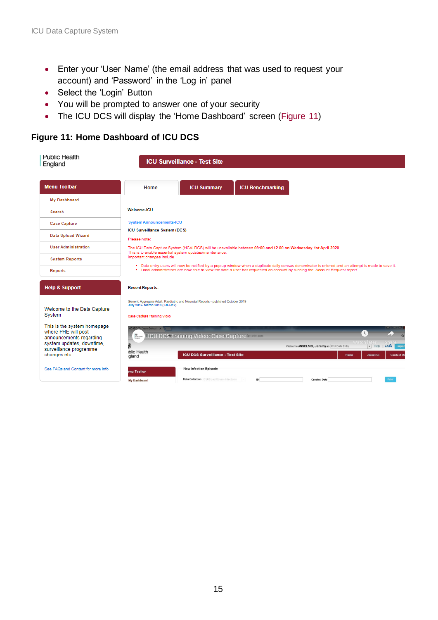- Enter your 'User Name' (the email address that was used to request your account) and 'Password' in the 'Log in' panel
- Select the 'Login' Button
- You will be prompted to answer one of your security
- The ICU DCS will display the 'Home Dashboard' screen [\(Figure 11\)](#page-14-0)

### <span id="page-14-0"></span>**Figure 11: Home Dashboard of ICU DCS**

| <b>Public Health</b><br>England                                                                                                                      | <b>ICU Surveillance - Test Site</b>                                                                                                                                                                                                                                                                                                                      |
|------------------------------------------------------------------------------------------------------------------------------------------------------|----------------------------------------------------------------------------------------------------------------------------------------------------------------------------------------------------------------------------------------------------------------------------------------------------------------------------------------------------------|
| <b>Menu Toolbar</b>                                                                                                                                  | <b>ICU Benchmarking</b><br><b>ICU Summary</b><br>Home                                                                                                                                                                                                                                                                                                    |
| My Dashboard                                                                                                                                         |                                                                                                                                                                                                                                                                                                                                                          |
| Search                                                                                                                                               | Welcome-ICU                                                                                                                                                                                                                                                                                                                                              |
| <b>Case Capture</b>                                                                                                                                  | <b>System Announcements-ICU</b>                                                                                                                                                                                                                                                                                                                          |
| <b>Data Upload Wizard</b>                                                                                                                            | ICU Surveillance System (DCS)<br>Please note:                                                                                                                                                                                                                                                                                                            |
| <b>User Administration</b>                                                                                                                           | The ICU Data Capture System (HCAI DCS) will be unavailable between 09:00 and 12.00 on Wednesday 1st April 2020.<br>This is to enable essential system updates/maintenance.                                                                                                                                                                               |
| <b>System Reports</b>                                                                                                                                | Important changes include                                                                                                                                                                                                                                                                                                                                |
| <b>Reports</b>                                                                                                                                       | . Data entry users will now be notified by a pop-up window when a duplicate daily census denominator is entered and an attempt is made to save it.<br>. Local administrators are now able to view the date a user has requested an account by running the 'Account Request report'.                                                                      |
| <b>Help &amp; Support</b>                                                                                                                            | <b>Recent Reports:</b>                                                                                                                                                                                                                                                                                                                                   |
| Welcome to the Data Capture<br>System                                                                                                                | Generic Aggregate Adult, Paediatric and Neonatal Reports - published October 2019<br>July 2017- March 2019 ( Q6-Q12)<br>Case Capture Training Video                                                                                                                                                                                                      |
| This is the system homepage<br>where PHE will post<br>announcements regarding<br>system updates, downtime,<br>surveillance programme<br>changes etc. | CALDOS Create Infecti X<br>$\mathbf{r}$<br><b>88</b><br>Dalk (mm)<br><b>MCU DCS Training Video: Case Capture Mediatry</b><br><b>Watch later</b><br>- Help   AAA   Luggen<br>Welcome ANSELMO, Jeremy as ICU Data Entry<br><b>Iblic Health</b><br><b>ICU DCS Surveillance - Test Site</b><br><b>Contact Us</b><br><b>Home</b><br><b>About Us</b><br>igland |
| See FAQs and Content for more info                                                                                                                   | New Infection Episode<br>enu Toolbar<br>Data Collection ICU Blood Stream Infections<br><b>Created Date</b><br>Print:<br>ID<br><b>My Dashboard</b>                                                                                                                                                                                                        |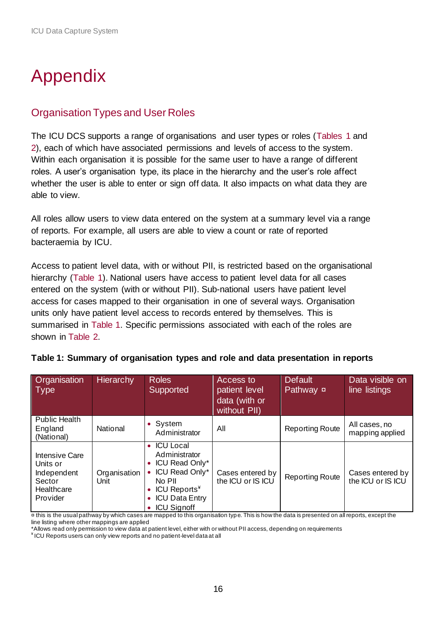# <span id="page-15-0"></span>Appendix

## <span id="page-15-1"></span>Organisation Types and User Roles

The ICU DCS supports a range of organisations and user types or roles [\(Tables 1](#page-15-2) and [2\)](#page-16-0), each of which have associated permissions and levels of access to the system. Within each organisation it is possible for the same user to have a range of different roles. A user's organisation type, its place in the hierarchy and the user's role affect whether the user is able to enter or sign off data. It also impacts on what data they are able to view.

All roles allow users to view data entered on the system at a summary level via a range of reports. For example, all users are able to view a count or rate of reported bacteraemia by ICU.

Access to patient level data, with or without PII, is restricted based on the organisational hierarchy [\(Table 1\)](#page-15-2). National users have access to patient level data for all cases entered on the system (with or without PII). Sub-national users have patient level access for cases mapped to their organisation in one of several ways. Organisation units only have patient level access to records entered by themselves. This is summarised in [Table 1.](#page-15-2) Specific permissions associated with each of the roles are shown in [Table 2.](#page-16-0)

| <b>Organisation</b><br>$\vert$ Type                                                  | <b>Hierarchy</b>     | <b>Roles</b><br>Supported                                                                                                                                               | Access to<br>patient level<br>data (with or<br>without PII) | Default<br>Pathway ¤   | Data visible on<br>line listings      |
|--------------------------------------------------------------------------------------|----------------------|-------------------------------------------------------------------------------------------------------------------------------------------------------------------------|-------------------------------------------------------------|------------------------|---------------------------------------|
| <b>Public Health</b><br>England<br>(National)                                        | National             | System<br>$\bullet$<br>Administrator                                                                                                                                    | All                                                         | <b>Reporting Route</b> | All cases, no<br>mapping applied      |
| <b>Intensive Care</b><br>Units or<br>Independent<br>Sector<br>Healthcare<br>Provider | Organisation<br>Unit | <b>ICU</b> Local<br>$\bullet$<br>Administrator<br>ICU Read Only*<br>ICU Read Only*<br>No PII<br>ICU Reports <sup>*</sup><br><b>ICU Data Entry</b><br><b>ICU Signoff</b> | Cases entered by<br>the ICU or IS ICU                       | <b>Reporting Route</b> | Cases entered by<br>the ICU or IS ICU |

<span id="page-15-2"></span>

| Table 1: Summary of organisation types and role and data presentation in reports |  |  |  |  |  |
|----------------------------------------------------------------------------------|--|--|--|--|--|
|----------------------------------------------------------------------------------|--|--|--|--|--|

¤ this is the usual pathway by which cases are mapped to this organisation type. This is how the data is presented on all reports, except the line listing where other mappings are applied

\*Allows read only permission to view data at patient level, either with or without PII access, depending on requirements

¥ ICU Reports users can only view reports and no patient-level data at all